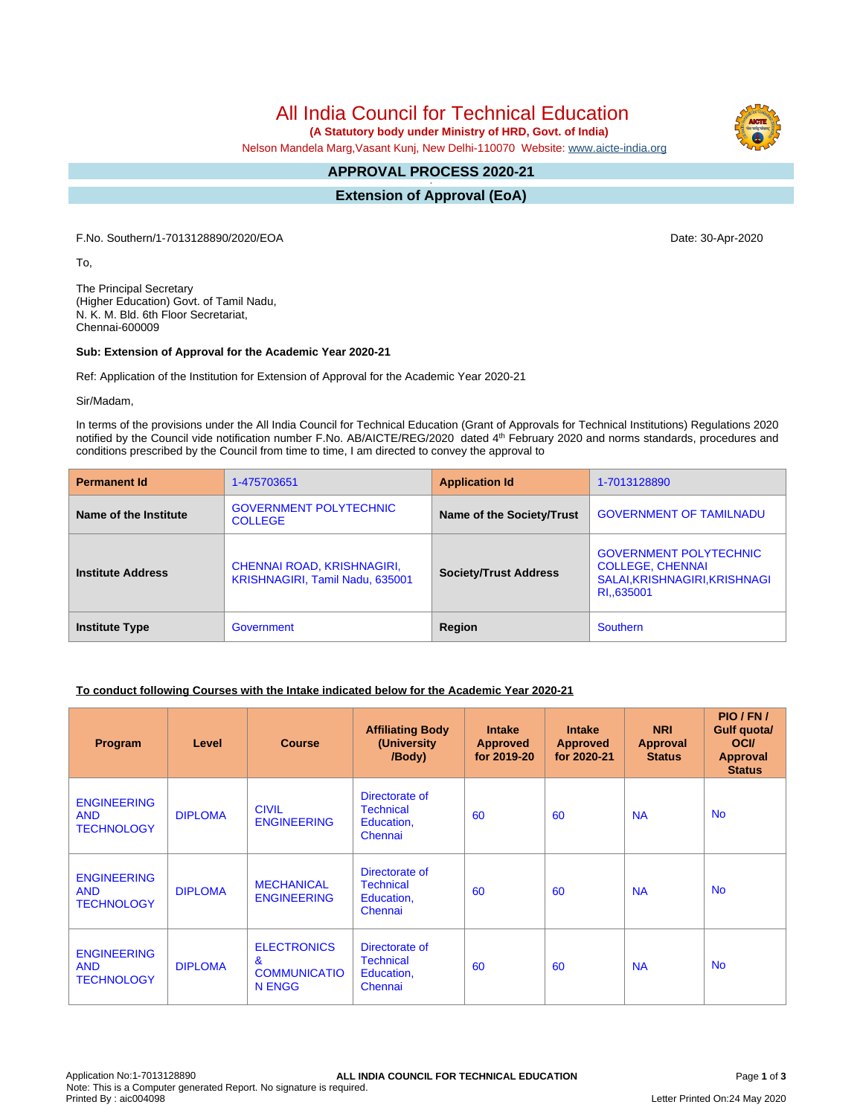All India Council for Technical Education

 **(A Statutory body under Ministry of HRD, Govt. of India)**

Nelson Mandela Marg,Vasant Kunj, New Delhi-110070 Website: [www.aicte-india.org](http://www.aicte-india.org)

#### **APPROVAL PROCESS 2020-21 -**

**Extension of Approval (EoA)**

F.No. Southern/1-7013128890/2020/EOA Date: 30-Apr-2020

To,

The Principal Secretary (Higher Education) Govt. of Tamil Nadu, N. K. M. Bld. 6th Floor Secretariat, Chennai-600009

#### **Sub: Extension of Approval for the Academic Year 2020-21**

Ref: Application of the Institution for Extension of Approval for the Academic Year 2020-21

Sir/Madam,

In terms of the provisions under the All India Council for Technical Education (Grant of Approvals for Technical Institutions) Regulations 2020 notified by the Council vide notification number F.No. AB/AICTE/REG/2020 dated 4<sup>th</sup> February 2020 and norms standards, procedures and conditions prescribed by the Council from time to time, I am directed to convey the approval to

| <b>Permanent Id</b>      | 1-475703651                                                   | <b>Application Id</b>        | 1-7013128890                                                                                            |  |
|--------------------------|---------------------------------------------------------------|------------------------------|---------------------------------------------------------------------------------------------------------|--|
| Name of the Institute    | <b>GOVERNMENT POLYTECHNIC</b><br><b>COLLEGE</b>               | Name of the Society/Trust    | <b>GOVERNMENT OF TAMILNADU</b>                                                                          |  |
| <b>Institute Address</b> | CHENNAI ROAD, KRISHNAGIRI,<br>KRISHNAGIRI, Tamil Nadu, 635001 | <b>Society/Trust Address</b> | <b>GOVERNMENT POLYTECHNIC</b><br><b>COLLEGE, CHENNAI</b><br>SALAI, KRISHNAGIRI, KRISHNAGI<br>RI.,635001 |  |
| <b>Institute Type</b>    | Government                                                    | Region                       | <b>Southern</b>                                                                                         |  |

### **To conduct following Courses with the Intake indicated below for the Academic Year 2020-21**

| Program                                               | Level          | <b>Course</b>                                                              | <b>Affiliating Body</b><br>(University<br>/Body)            | <b>Intake</b><br><b>Approved</b><br>for 2019-20 | <b>Intake</b><br><b>Approved</b><br>for 2020-21 | <b>NRI</b><br>Approval<br><b>Status</b> | PIO/FN/<br>Gulf quota/<br><b>OCI</b><br><b>Approval</b><br><b>Status</b> |
|-------------------------------------------------------|----------------|----------------------------------------------------------------------------|-------------------------------------------------------------|-------------------------------------------------|-------------------------------------------------|-----------------------------------------|--------------------------------------------------------------------------|
| <b>ENGINEERING</b><br><b>AND</b><br><b>TECHNOLOGY</b> | <b>DIPLOMA</b> | <b>CIVIL</b><br><b>ENGINEERING</b>                                         | Directorate of<br><b>Technical</b><br>Education,<br>Chennai | 60                                              | 60                                              | <b>NA</b>                               | <b>No</b>                                                                |
| <b>ENGINEERING</b><br><b>AND</b><br><b>TECHNOLOGY</b> | <b>DIPLOMA</b> | <b>MECHANICAL</b><br><b>ENGINEERING</b>                                    | Directorate of<br><b>Technical</b><br>Education,<br>Chennai | 60                                              | 60                                              | <b>NA</b>                               | <b>No</b>                                                                |
| <b>ENGINEERING</b><br><b>AND</b><br><b>TECHNOLOGY</b> | <b>DIPLOMA</b> | <b>ELECTRONICS</b><br>$\mathbf{g}$<br><b>COMMUNICATIO</b><br><b>N ENGG</b> | Directorate of<br><b>Technical</b><br>Education,<br>Chennai | 60                                              | 60                                              | <b>NA</b>                               | <b>No</b>                                                                |

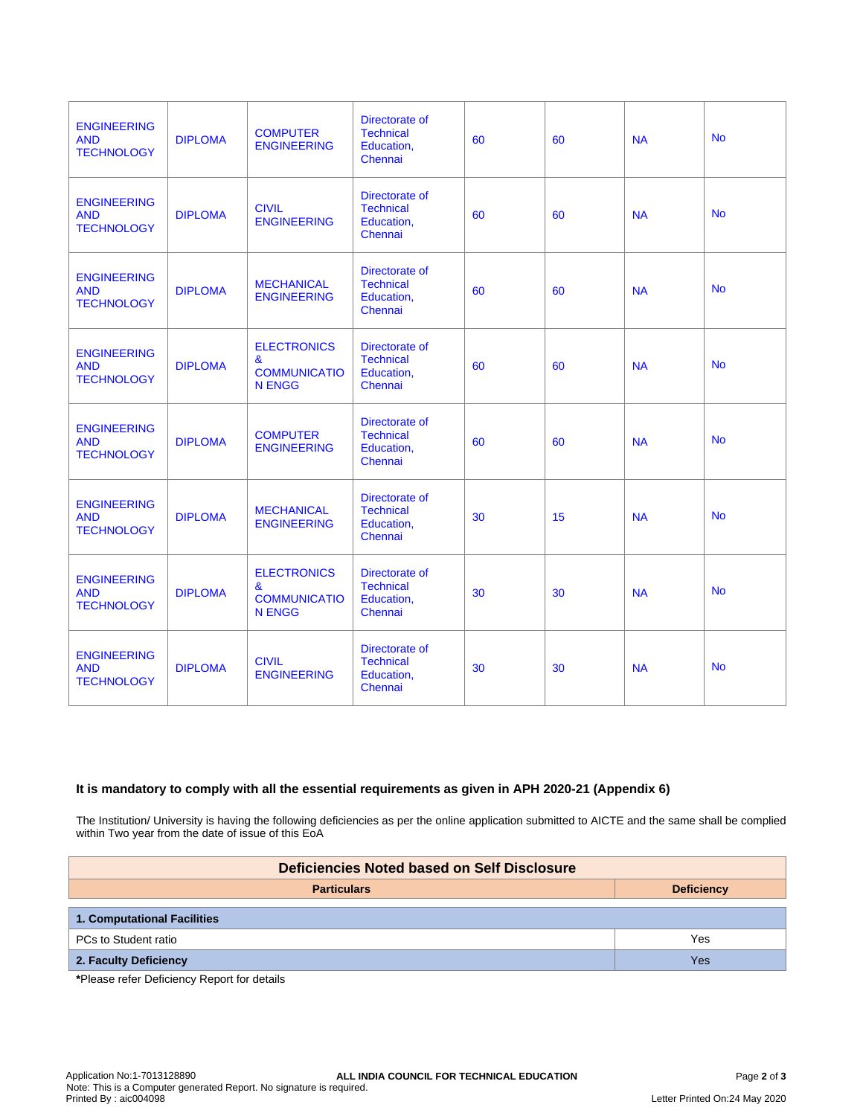| <b>ENGINEERING</b><br><b>AND</b><br><b>TECHNOLOGY</b> | <b>DIPLOMA</b> | <b>COMPUTER</b><br><b>ENGINEERING</b>                           | Directorate of<br><b>Technical</b><br>Education,<br>Chennai | 60 | 60 | <b>NA</b> | <b>No</b> |
|-------------------------------------------------------|----------------|-----------------------------------------------------------------|-------------------------------------------------------------|----|----|-----------|-----------|
| <b>ENGINEERING</b><br><b>AND</b><br><b>TECHNOLOGY</b> | <b>DIPLOMA</b> | <b>CIVIL</b><br><b>ENGINEERING</b>                              | Directorate of<br><b>Technical</b><br>Education,<br>Chennai | 60 | 60 | <b>NA</b> | <b>No</b> |
| <b>ENGINEERING</b><br><b>AND</b><br><b>TECHNOLOGY</b> | <b>DIPLOMA</b> | <b>MECHANICAL</b><br><b>ENGINEERING</b>                         | Directorate of<br><b>Technical</b><br>Education,<br>Chennai | 60 | 60 | <b>NA</b> | <b>No</b> |
| <b>ENGINEERING</b><br><b>AND</b><br><b>TECHNOLOGY</b> | <b>DIPLOMA</b> | <b>ELECTRONICS</b><br>&<br><b>COMMUNICATIO</b><br><b>N ENGG</b> | Directorate of<br><b>Technical</b><br>Education,<br>Chennai | 60 | 60 | <b>NA</b> | <b>No</b> |
| <b>ENGINEERING</b><br><b>AND</b><br><b>TECHNOLOGY</b> | <b>DIPLOMA</b> | <b>COMPUTER</b><br><b>ENGINEERING</b>                           | Directorate of<br><b>Technical</b><br>Education,<br>Chennai | 60 | 60 | <b>NA</b> | <b>No</b> |
| <b>ENGINEERING</b><br><b>AND</b><br><b>TECHNOLOGY</b> | <b>DIPLOMA</b> | <b>MECHANICAL</b><br><b>ENGINEERING</b>                         | Directorate of<br><b>Technical</b><br>Education,<br>Chennai | 30 | 15 | <b>NA</b> | <b>No</b> |
| <b>ENGINEERING</b><br><b>AND</b><br><b>TECHNOLOGY</b> | <b>DIPLOMA</b> | <b>ELECTRONICS</b><br>&<br><b>COMMUNICATIO</b><br><b>N ENGG</b> | Directorate of<br><b>Technical</b><br>Education,<br>Chennai | 30 | 30 | <b>NA</b> | <b>No</b> |
| <b>ENGINEERING</b><br><b>AND</b><br><b>TECHNOLOGY</b> | <b>DIPLOMA</b> | <b>CIVIL</b><br><b>ENGINEERING</b>                              | Directorate of<br><b>Technical</b><br>Education,<br>Chennai | 30 | 30 | <b>NA</b> | <b>No</b> |

## **It is mandatory to comply with all the essential requirements as given in APH 2020-21 (Appendix 6)**

The Institution/ University is having the following deficiencies as per the online application submitted to AICTE and the same shall be complied within Two year from the date of issue of this EoA

| Deficiencies Noted based on Self Disclosure |                   |  |  |  |  |
|---------------------------------------------|-------------------|--|--|--|--|
| <b>Particulars</b>                          | <b>Deficiency</b> |  |  |  |  |
| 1. Computational Facilities                 |                   |  |  |  |  |
| PCs to Student ratio                        | Yes               |  |  |  |  |
| 2. Faculty Deficiency                       | Yes               |  |  |  |  |

**\***Please refer Deficiency Report for details